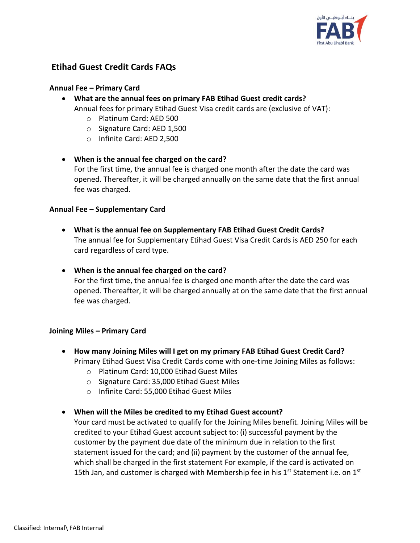

# **Etihad Guest Credit Cards FAQs**

#### **Annual Fee – Primary Card**

- **What are the annual fees on primary FAB Etihad Guest credit cards?**  Annual fees for primary Etihad Guest Visa credit cards are (exclusive of VAT):
	- o Platinum Card: AED 500
	- o Signature Card: AED 1,500
	- o Infinite Card: AED 2,500

#### **When is the annual fee charged on the card?**

For the first time, the annual fee is charged one month after the date the card was opened. Thereafter, it will be charged annually on the same date that the first annual fee was charged.

#### **Annual Fee – Supplementary Card**

- **What is the annual fee on Supplementary FAB Etihad Guest Credit Cards?**  The annual fee for Supplementary Etihad Guest Visa Credit Cards is AED 250 for each card regardless of card type.
- **When is the annual fee charged on the card?**  For the first time, the annual fee is charged one month after the date the card was opened. Thereafter, it will be charged annually at on the same date that the first annual fee was charged.

#### **Joining Miles – Primary Card**

- **How many Joining Miles will I get on my primary FAB Etihad Guest Credit Card?**  Primary Etihad Guest Visa Credit Cards come with one-time Joining Miles as follows:
	- o Platinum Card: 10,000 Etihad Guest Miles
	- o Signature Card: 35,000 Etihad Guest Miles
	- o Infinite Card: 55,000 Etihad Guest Miles

#### **When will the Miles be credited to my Etihad Guest account?**

Your card must be activated to qualify for the Joining Miles benefit. Joining Miles will be credited to your Etihad Guest account subject to: (i) successful payment by the customer by the payment due date of the minimum due in relation to the first statement issued for the card; and (ii) payment by the customer of the annual fee, which shall be charged in the first statement For example, if the card is activated on 15th Jan, and customer is charged with Membership fee in his  $1<sup>st</sup>$  Statement i.e. on  $1<sup>st</sup>$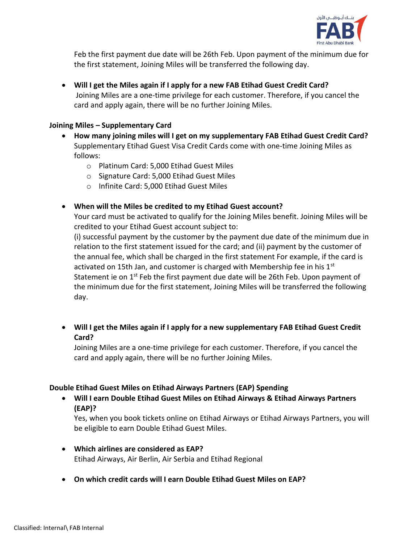

Feb the first payment due date will be 26th Feb. Upon payment of the minimum due for the first statement, Joining Miles will be transferred the following day.

 **Will I get the Miles again if I apply for a new FAB Etihad Guest Credit Card?** Joining Miles are a one-time privilege for each customer. Therefore, if you cancel the card and apply again, there will be no further Joining Miles.

#### **Joining Miles – Supplementary Card**

- **How many joining miles will I get on my supplementary FAB Etihad Guest Credit Card?**  Supplementary Etihad Guest Visa Credit Cards come with one-time Joining Miles as follows:
	- o Platinum Card: 5,000 Etihad Guest Miles
	- o Signature Card: 5,000 Etihad Guest Miles
	- o Infinite Card: 5,000 Etihad Guest Miles
- **When will the Miles be credited to my Etihad Guest account?**

Your card must be activated to qualify for the Joining Miles benefit. Joining Miles will be credited to your Etihad Guest account subject to:

(i) successful payment by the customer by the payment due date of the minimum due in relation to the first statement issued for the card; and (ii) payment by the customer of the annual fee, which shall be charged in the first statement For example, if the card is activated on 15th Jan, and customer is charged with Membership fee in his  $1<sup>st</sup>$ Statement ie on 1<sup>st</sup> Feb the first payment due date will be 26th Feb. Upon payment of the minimum due for the first statement, Joining Miles will be transferred the following day.

 **Will I get the Miles again if I apply for a new supplementary FAB Etihad Guest Credit Card?** 

Joining Miles are a one-time privilege for each customer. Therefore, if you cancel the card and apply again, there will be no further Joining Miles.

## **Double Etihad Guest Miles on Etihad Airways Partners (EAP) Spending**

 **Will I earn Double Etihad Guest Miles on Etihad Airways & Etihad Airways Partners (EAP)?** 

Yes, when you book tickets online on Etihad Airways or Etihad Airways Partners, you will be eligible to earn Double Etihad Guest Miles.

- **Which airlines are considered as EAP?**  Etihad Airways, Air Berlin, Air Serbia and Etihad Regional
- **On which credit cards will I earn Double Etihad Guest Miles on EAP?**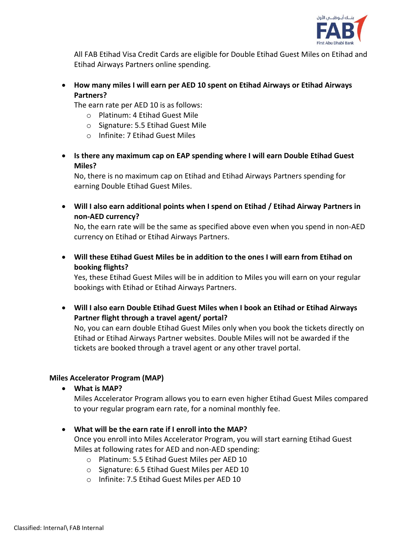

All FAB Etihad Visa Credit Cards are eligible for Double Etihad Guest Miles on Etihad and Etihad Airways Partners online spending.

 **How many miles I will earn per AED 10 spent on Etihad Airways or Etihad Airways Partners?** 

The earn rate per AED 10 is as follows:

- o Platinum: 4 Etihad Guest Mile
- o Signature: 5.5 Etihad Guest Mile
- o Infinite: 7 Etihad Guest Miles
- **Is there any maximum cap on EAP spending where I will earn Double Etihad Guest Miles?**

No, there is no maximum cap on Etihad and Etihad Airways Partners spending for earning Double Etihad Guest Miles.

 **Will I also earn additional points when I spend on Etihad / Etihad Airway Partners in non-AED currency?** 

No, the earn rate will be the same as specified above even when you spend in non-AED currency on Etihad or Etihad Airways Partners.

 **Will these Etihad Guest Miles be in addition to the ones I will earn from Etihad on booking flights?** 

Yes, these Etihad Guest Miles will be in addition to Miles you will earn on your regular bookings with Etihad or Etihad Airways Partners.

 **Will I also earn Double Etihad Guest Miles when I book an Etihad or Etihad Airways Partner flight through a travel agent/ portal?** 

No, you can earn double Etihad Guest Miles only when you book the tickets directly on Etihad or Etihad Airways Partner websites. Double Miles will not be awarded if the tickets are booked through a travel agent or any other travel portal.

## **Miles Accelerator Program (MAP)**

**What is MAP?** 

Miles Accelerator Program allows you to earn even higher Etihad Guest Miles compared to your regular program earn rate, for a nominal monthly fee.

**What will be the earn rate if I enroll into the MAP?** 

Once you enroll into Miles Accelerator Program, you will start earning Etihad Guest Miles at following rates for AED and non-AED spending:

- o Platinum: 5.5 Etihad Guest Miles per AED 10
- o Signature: 6.5 Etihad Guest Miles per AED 10
- o Infinite: 7.5 Etihad Guest Miles per AED 10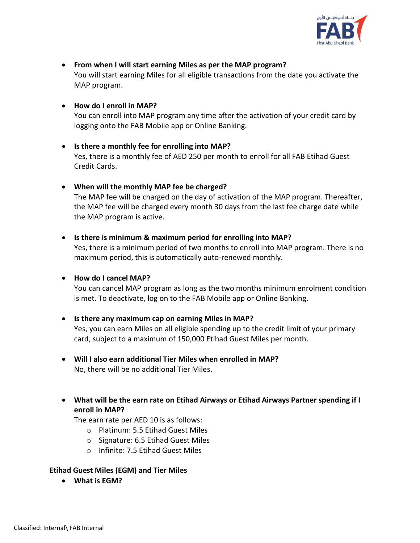

- **From when I will start earning Miles as per the MAP program?**  You will start earning Miles for all eligible transactions from the date you activate the MAP program.
- **How do I enroll in MAP?**

You can enroll into MAP program any time after the activation of your credit card by logging onto the FAB Mobile app or Online Banking.

- **Is there a monthly fee for enrolling into MAP?**  Yes, there is a monthly fee of AED 250 per month to enroll for all FAB Etihad Guest Credit Cards.
- **When will the monthly MAP fee be charged?** The MAP fee will be charged on the day of activation of the MAP program. Thereafter, the MAP fee will be charged every month 30 days from the last fee charge date while the MAP program is active.
- **Is there is minimum & maximum period for enrolling into MAP?**  Yes, there is a minimum period of two months to enroll into MAP program. There is no maximum period, this is automatically auto-renewed monthly.

#### **How do I cancel MAP?**

You can cancel MAP program as long as the two months minimum enrolment condition is met. To deactivate, log on to the FAB Mobile app or Online Banking.

- **Is there any maximum cap on earning Miles in MAP?**  Yes, you can earn Miles on all eligible spending up to the credit limit of your primary card, subject to a maximum of 150,000 Etihad Guest Miles per month.
- **Will I also earn additional Tier Miles when enrolled in MAP?**  No, there will be no additional Tier Miles.
- **What will be the earn rate on Etihad Airways or Etihad Airways Partner spending if I enroll in MAP?**

The earn rate per AED 10 is as follows:

- o Platinum: 5.5 Etihad Guest Miles
- o Signature: 6.5 Etihad Guest Miles
- o Infinite: 7.5 Etihad Guest Miles

#### **Etihad Guest Miles (EGM) and Tier Miles**

**What is EGM?**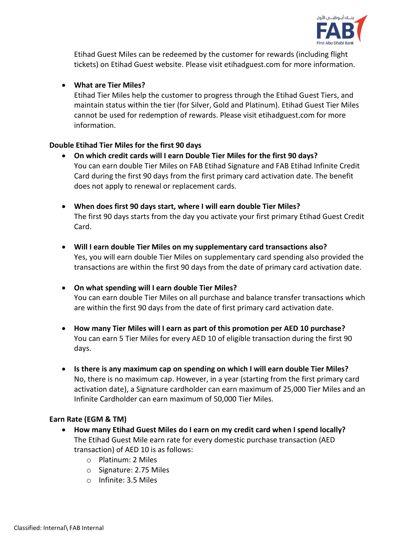

Etihad Guest Miles can be redeemed by the customer for rewards (including flight tickets) on Etihad Guest website. Please visit etihadguest.com for more information.

## **What are Tier Miles?**

Etihad Tier Miles help the customer to progress through the Etihad Guest Tiers, and maintain status within the tier (for Silver, Gold and Platinum). Etihad Guest Tier Miles cannot be used for redemption of rewards. Please visit etihadguest.com for more information.

## **Double Etihad Tier Miles for the first 90 days**

- **On which credit cards will I earn Double Tier Miles for the first 90 days?**  You can earn double Tier Miles on FAB Etihad Signature and FAB Etihad Infinite Credit Card during the first 90 days from the first primary card activation date. The benefit does not apply to renewal or replacement cards.
- **When does first 90 days start, where I will earn double Tier Miles?**  The first 90 days starts from the day you activate your first primary Etihad Guest Credit Card.
- **Will I earn double Tier Miles on my supplementary card transactions also?**  Yes, you will earn double Tier Miles on supplementary card spending also provided the transactions are within the first 90 days from the date of primary card activation date.
- **On what spending will I earn double Tier Miles?**  You can earn double Tier Miles on all purchase and balance transfer transactions which are within the first 90 days from the date of first primary card activation date.
- **How many Tier Miles will I earn as part of this promotion per AED 10 purchase?** You can earn 5 Tier Miles for every AED 10 of eligible transaction during the first 90 days.
- **Is there is any maximum cap on spending on which I will earn double Tier Miles?** No, there is no maximum cap. However, in a year (starting from the first primary card activation date), a Signature cardholder can earn maximum of 25,000 Tier Miles and an Infinite Cardholder can earn maximum of 50,000 Tier Miles.

## **Earn Rate (EGM & TM)**

- **How many Etihad Guest Miles do I earn on my credit card when I spend locally?**  The Etihad Guest Mile earn rate for every domestic purchase transaction (AED transaction) of AED 10 is as follows:
	- o Platinum: 2 Miles
	- o Signature: 2.75 Miles
	- o Infinite: 3.5 Miles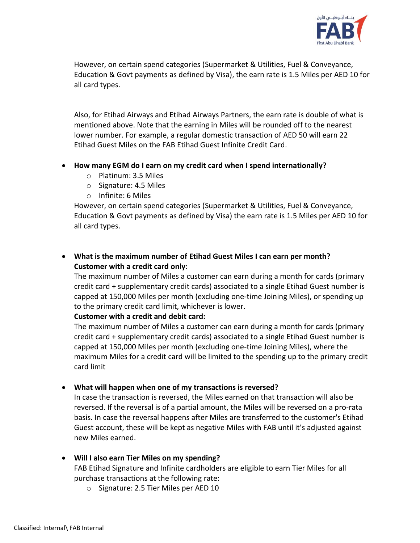

However, on certain spend categories (Supermarket & Utilities, Fuel & Conveyance, Education & Govt payments as defined by Visa), the earn rate is 1.5 Miles per AED 10 for all card types.

Also, for Etihad Airways and Etihad Airways Partners, the earn rate is double of what is mentioned above. Note that the earning in Miles will be rounded off to the nearest lower number. For example, a regular domestic transaction of AED 50 will earn 22 Etihad Guest Miles on the FAB Etihad Guest Infinite Credit Card.

#### **How many EGM do I earn on my credit card when I spend internationally?**

- o Platinum: 3.5 Miles
- o Signature: 4.5 Miles
- o Infinite: 6 Miles

However, on certain spend categories (Supermarket & Utilities, Fuel & Conveyance, Education & Govt payments as defined by Visa) the earn rate is 1.5 Miles per AED 10 for all card types.

## **What is the maximum number of Etihad Guest Miles I can earn per month? Customer with a credit card only**:

The maximum number of Miles a customer can earn during a month for cards (primary credit card + supplementary credit cards) associated to a single Etihad Guest number is capped at 150,000 Miles per month (excluding one-time Joining Miles), or spending up to the primary credit card limit, whichever is lower.

#### **Customer with a credit and debit card:**

The maximum number of Miles a customer can earn during a month for cards (primary credit card + supplementary credit cards) associated to a single Etihad Guest number is capped at 150,000 Miles per month (excluding one-time Joining Miles), where the maximum Miles for a credit card will be limited to the spending up to the primary credit card limit

## **What will happen when one of my transactions is reversed?**

In case the transaction is reversed, the Miles earned on that transaction will also be reversed. If the reversal is of a partial amount, the Miles will be reversed on a pro-rata basis. In case the reversal happens after Miles are transferred to the customer's Etihad Guest account, these will be kept as negative Miles with FAB until it's adjusted against new Miles earned.

## **Will I also earn Tier Miles on my spending?**

FAB Etihad Signature and Infinite cardholders are eligible to earn Tier Miles for all purchase transactions at the following rate:

o Signature: 2.5 Tier Miles per AED 10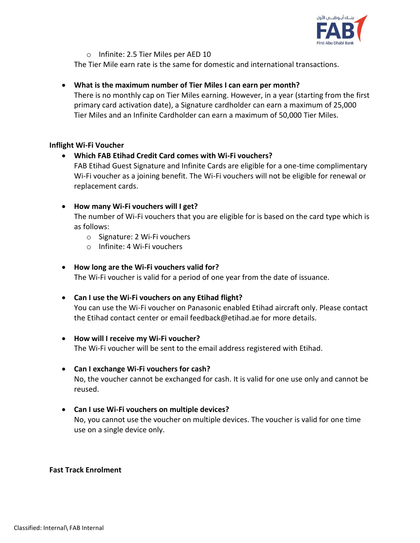

o Infinite: 2.5 Tier Miles per AED 10

The Tier Mile earn rate is the same for domestic and international transactions.

## **What is the maximum number of Tier Miles I can earn per month?**

There is no monthly cap on Tier Miles earning. However, in a year (starting from the first primary card activation date), a Signature cardholder can earn a maximum of 25,000 Tier Miles and an Infinite Cardholder can earn a maximum of 50,000 Tier Miles.

## **Inflight Wi-Fi Voucher**

## **Which FAB Etihad Credit Card comes with Wi-Fi vouchers?**

FAB Etihad Guest Signature and Infinite Cards are eligible for a one-time complimentary Wi-Fi voucher as a joining benefit. The Wi-Fi vouchers will not be eligible for renewal or replacement cards.

## **How many Wi-Fi vouchers will I get?**

The number of Wi-Fi vouchers that you are eligible for is based on the card type which is as follows:

- o Signature: 2 Wi-Fi vouchers
- o Infinite: 4 Wi-Fi vouchers

## **How long are the Wi-Fi vouchers valid for?**

The Wi-Fi voucher is valid for a period of one year from the date of issuance.

## **Can I use the Wi-Fi vouchers on any Etihad flight?**

You can use the Wi-Fi voucher on Panasonic enabled Etihad aircraft only. Please contact the Etihad contact center or email feedback@etihad.ae for more details.

## **How will I receive my Wi-Fi voucher?**

The Wi-Fi voucher will be sent to the email address registered with Etihad.

# **Can I exchange Wi-Fi vouchers for cash?**

No, the voucher cannot be exchanged for cash. It is valid for one use only and cannot be reused.

## **Can I use Wi-Fi vouchers on multiple devices?**  No, you cannot use the voucher on multiple devices. The voucher is valid for one time use on a single device only.

## **Fast Track Enrolment**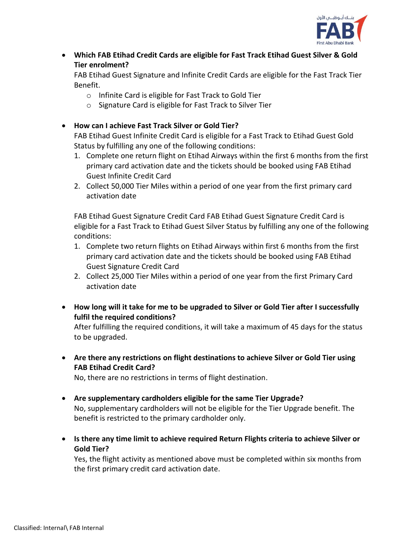

 **Which FAB Etihad Credit Cards are eligible for Fast Track Etihad Guest Silver & Gold Tier enrolment?** 

FAB Etihad Guest Signature and Infinite Credit Cards are eligible for the Fast Track Tier Benefit.

- o Infinite Card is eligible for Fast Track to Gold Tier
- o Signature Card is eligible for Fast Track to Silver Tier
- **How can I achieve Fast Track Silver or Gold Tier?**

FAB Etihad Guest Infinite Credit Card is eligible for a Fast Track to Etihad Guest Gold Status by fulfilling any one of the following conditions:

- 1. Complete one return flight on Etihad Airways within the first 6 months from the first primary card activation date and the tickets should be booked using FAB Etihad Guest Infinite Credit Card
- 2. Collect 50,000 Tier Miles within a period of one year from the first primary card activation date

FAB Etihad Guest Signature Credit Card FAB Etihad Guest Signature Credit Card is eligible for a Fast Track to Etihad Guest Silver Status by fulfilling any one of the following conditions:

- 1. Complete two return flights on Etihad Airways within first 6 months from the first primary card activation date and the tickets should be booked using FAB Etihad Guest Signature Credit Card
- 2. Collect 25,000 Tier Miles within a period of one year from the first Primary Card activation date
- **How long will it take for me to be upgraded to Silver or Gold Tier after I successfully fulfil the required conditions?**

After fulfilling the required conditions, it will take a maximum of 45 days for the status to be upgraded.

 **Are there any restrictions on flight destinations to achieve Silver or Gold Tier using FAB Etihad Credit Card?**

No, there are no restrictions in terms of flight destination.

- **Are supplementary cardholders eligible for the same Tier Upgrade?**  No, supplementary cardholders will not be eligible for the Tier Upgrade benefit. The benefit is restricted to the primary cardholder only.
- **Is there any time limit to achieve required Return Flights criteria to achieve Silver or Gold Tier?**

Yes, the flight activity as mentioned above must be completed within six months from the first primary credit card activation date.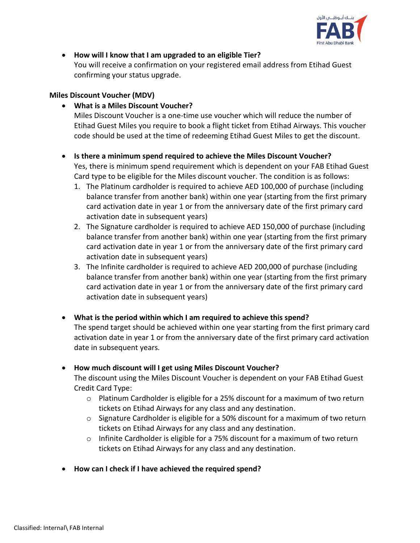

**How will I know that I am upgraded to an eligible Tier?** 

You will receive a confirmation on your registered email address from Etihad Guest confirming your status upgrade.

#### **Miles Discount Voucher (MDV)**

**What is a Miles Discount Voucher?** 

Miles Discount Voucher is a one-time use voucher which will reduce the number of Etihad Guest Miles you require to book a flight ticket from Etihad Airways. This voucher code should be used at the time of redeeming Etihad Guest Miles to get the discount.

- **Is there a minimum spend required to achieve the Miles Discount Voucher?**  Yes, there is minimum spend requirement which is dependent on your FAB Etihad Guest Card type to be eligible for the Miles discount voucher. The condition is as follows:
	- 1. The Platinum cardholder is required to achieve AED 100,000 of purchase (including balance transfer from another bank) within one year (starting from the first primary card activation date in year 1 or from the anniversary date of the first primary card activation date in subsequent years)
	- 2. The Signature cardholder is required to achieve AED 150,000 of purchase (including balance transfer from another bank) within one year (starting from the first primary card activation date in year 1 or from the anniversary date of the first primary card activation date in subsequent years)
	- 3. The Infinite cardholder is required to achieve AED 200,000 of purchase (including balance transfer from another bank) within one year (starting from the first primary card activation date in year 1 or from the anniversary date of the first primary card activation date in subsequent years)
- **What is the period within which I am required to achieve this spend?**

The spend target should be achieved within one year starting from the first primary card activation date in year 1 or from the anniversary date of the first primary card activation date in subsequent years.

- **How much discount will I get using Miles Discount Voucher?**  The discount using the Miles Discount Voucher is dependent on your FAB Etihad Guest Credit Card Type:
	- $\circ$  Platinum Cardholder is eligible for a 25% discount for a maximum of two return tickets on Etihad Airways for any class and any destination.
	- o Signature Cardholder is eligible for a 50% discount for a maximum of two return tickets on Etihad Airways for any class and any destination.
	- $\circ$  Infinite Cardholder is eligible for a 75% discount for a maximum of two return tickets on Etihad Airways for any class and any destination.
- **How can I check if I have achieved the required spend?**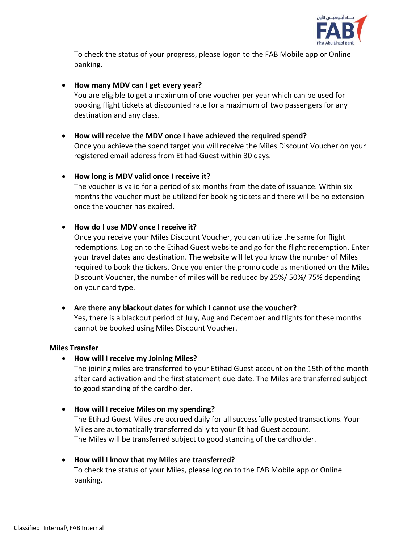

To check the status of your progress, please logon to the FAB Mobile app or Online banking.

## **How many MDV can I get every year?**

You are eligible to get a maximum of one voucher per year which can be used for booking flight tickets at discounted rate for a maximum of two passengers for any destination and any class.

**How will receive the MDV once I have achieved the required spend?** 

Once you achieve the spend target you will receive the Miles Discount Voucher on your registered email address from Etihad Guest within 30 days.

## **How long is MDV valid once I receive it?**

The voucher is valid for a period of six months from the date of issuance. Within six months the voucher must be utilized for booking tickets and there will be no extension once the voucher has expired.

#### **How do I use MDV once I receive it?**

Once you receive your Miles Discount Voucher, you can utilize the same for flight redemptions. Log on to the Etihad Guest website and go for the flight redemption. Enter your travel dates and destination. The website will let you know the number of Miles required to book the tickers. Once you enter the promo code as mentioned on the Miles Discount Voucher, the number of miles will be reduced by 25%/ 50%/ 75% depending on your card type.

## **Are there any blackout dates for which I cannot use the voucher?**

Yes, there is a blackout period of July, Aug and December and flights for these months cannot be booked using Miles Discount Voucher.

#### **Miles Transfer**

**How will I receive my Joining Miles?** 

The joining miles are transferred to your Etihad Guest account on the 15th of the month after card activation and the first statement due date. The Miles are transferred subject to good standing of the cardholder.

- **How will I receive Miles on my spending?**  The Etihad Guest Miles are accrued daily for all successfully posted transactions. Your Miles are automatically transferred daily to your Etihad Guest account. The Miles will be transferred subject to good standing of the cardholder.
- **How will I know that my Miles are transferred?** To check the status of your Miles, please log on to the FAB Mobile app or Online banking.